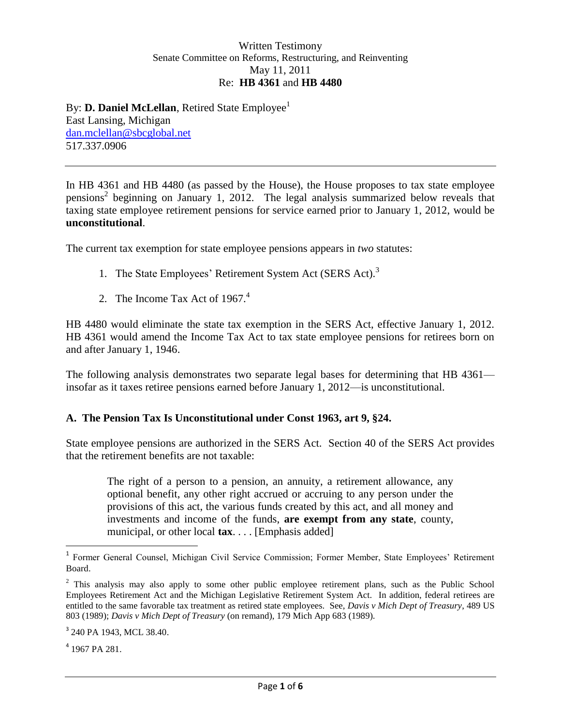## Written Testimony Senate Committee on Reforms, Restructuring, and Reinventing May 11, 2011 Re: **HB 4361** and **HB 4480**

By: **D. Daniel McLellan**, Retired State Employee<sup>1</sup> East Lansing, Michigan [dan.mclellan@sbcglobal.net](mailto:dan.mclellan@sbcglobal.net) 517.337.0906

In HB 4361 and HB 4480 (as passed by the House), the House proposes to tax state employee pensions<sup>2</sup> beginning on January 1, 2012. The legal analysis summarized below reveals that taxing state employee retirement pensions for service earned prior to January 1, 2012, would be **unconstitutional**.

The current tax exemption for state employee pensions appears in *two* statutes:

- 1. The State Employees' Retirement System Act (SERS Act).<sup>3</sup>
- 2. The Income Tax Act of  $1967<sup>4</sup>$

HB 4480 would eliminate the state tax exemption in the SERS Act, effective January 1, 2012. HB 4361 would amend the Income Tax Act to tax state employee pensions for retirees born on and after January 1, 1946.

The following analysis demonstrates two separate legal bases for determining that HB 4361 insofar as it taxes retiree pensions earned before January 1, 2012—is unconstitutional.

## **A. The Pension Tax Is Unconstitutional under Const 1963, art 9, §24.**

State employee pensions are authorized in the SERS Act. Section 40 of the SERS Act provides that the retirement benefits are not taxable:

The right of a person to a pension, an annuity, a retirement allowance, any optional benefit, any other right accrued or accruing to any person under the provisions of this act, the various funds created by this act, and all money and investments and income of the funds, **are exempt from any state**, county, municipal, or other local **tax**. . . . [Emphasis added]

4 1967 PA 281.

 1 Former General Counsel, Michigan Civil Service Commission; Former Member, State Employees' Retirement Board.

<sup>&</sup>lt;sup>2</sup> This analysis may also apply to some other public employee retirement plans, such as the Public School Employees Retirement Act and the Michigan Legislative Retirement System Act. In addition, federal retirees are entitled to the same favorable tax treatment as retired state employees. See, *Davis v Mich Dept of Treasury*, 489 US 803 (1989); *Davis v Mich Dept of Treasury* (on remand), 179 Mich App 683 (1989).

<sup>&</sup>lt;sup>3</sup> 240 PA 1943, MCL 38.40.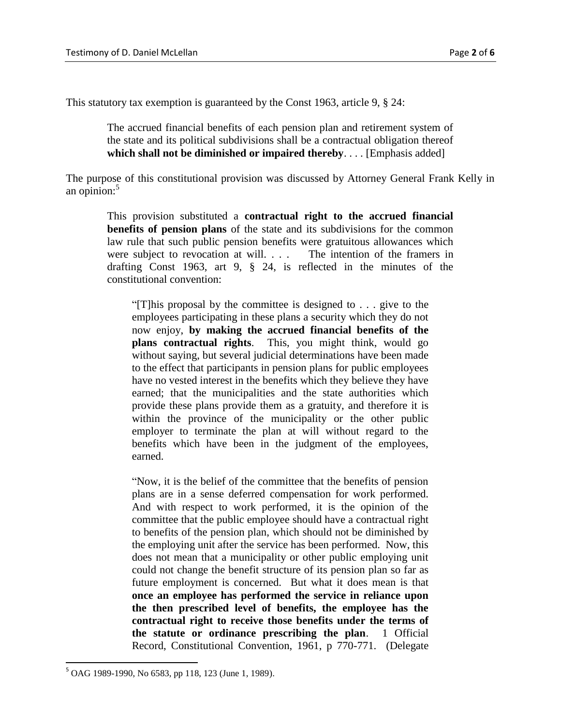This statutory tax exemption is guaranteed by the Const 1963, article 9, § 24:

The accrued financial benefits of each pension plan and retirement system of the state and its political subdivisions shall be a contractual obligation thereof **which shall not be diminished or impaired thereby**. . . . [Emphasis added]

The purpose of this constitutional provision was discussed by Attorney General Frank Kelly in an opinion:<sup>5</sup>

This provision substituted a **contractual right to the accrued financial benefits of pension plans** of the state and its subdivisions for the common law rule that such public pension benefits were gratuitous allowances which were subject to revocation at will. . . . The intention of the framers in drafting Const 1963, art 9, § 24, is reflected in the minutes of the constitutional convention:

"[T]his proposal by the committee is designed to . . . give to the employees participating in these plans a security which they do not now enjoy, **by making the accrued financial benefits of the plans contractual rights**. This, you might think, would go without saying, but several judicial determinations have been made to the effect that participants in pension plans for public employees have no vested interest in the benefits which they believe they have earned; that the municipalities and the state authorities which provide these plans provide them as a gratuity, and therefore it is within the province of the municipality or the other public employer to terminate the plan at will without regard to the benefits which have been in the judgment of the employees, earned.

"Now, it is the belief of the committee that the benefits of pension plans are in a sense deferred compensation for work performed. And with respect to work performed, it is the opinion of the committee that the public employee should have a contractual right to benefits of the pension plan, which should not be diminished by the employing unit after the service has been performed. Now, this does not mean that a municipality or other public employing unit could not change the benefit structure of its pension plan so far as future employment is concerned. But what it does mean is that **once an employee has performed the service in reliance upon the then prescribed level of benefits, the employee has the contractual right to receive those benefits under the terms of the statute or ordinance prescribing the plan**. 1 Official Record, Constitutional Convention, 1961, p 770-771. (Delegate

<sup>5</sup> OAG 1989-1990, No 6583, pp 118, 123 (June 1, 1989).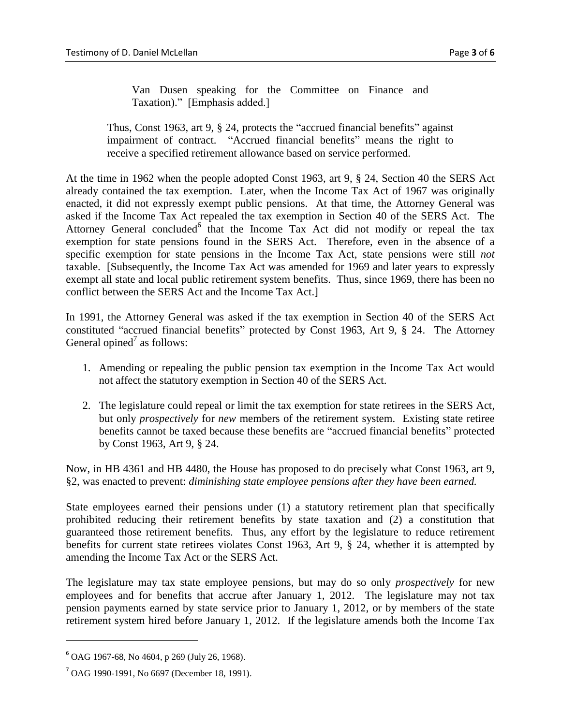Van Dusen speaking for the Committee on Finance and Taxation)." [Emphasis added.]

Thus, Const 1963, art 9, § 24, protects the "accrued financial benefits" against impairment of contract. "Accrued financial benefits" means the right to receive a specified retirement allowance based on service performed.

At the time in 1962 when the people adopted Const 1963, art 9, § 24, Section 40 the SERS Act already contained the tax exemption. Later, when the Income Tax Act of 1967 was originally enacted, it did not expressly exempt public pensions. At that time, the Attorney General was asked if the Income Tax Act repealed the tax exemption in Section 40 of the SERS Act. The Attorney General concluded<sup>6</sup> that the Income Tax Act did not modify or repeal the tax exemption for state pensions found in the SERS Act. Therefore, even in the absence of a specific exemption for state pensions in the Income Tax Act, state pensions were still *not* taxable. [Subsequently, the Income Tax Act was amended for 1969 and later years to expressly exempt all state and local public retirement system benefits. Thus, since 1969, there has been no conflict between the SERS Act and the Income Tax Act.]

In 1991, the Attorney General was asked if the tax exemption in Section 40 of the SERS Act constituted "accrued financial benefits" protected by Const 1963, Art 9, § 24. The Attorney General opined<sup>7</sup> as follows:

- 1. Amending or repealing the public pension tax exemption in the Income Tax Act would not affect the statutory exemption in Section 40 of the SERS Act.
- 2. The legislature could repeal or limit the tax exemption for state retirees in the SERS Act, but only *prospectively* for *new* members of the retirement system. Existing state retiree benefits cannot be taxed because these benefits are "accrued financial benefits" protected by Const 1963, Art 9, § 24.

Now, in HB 4361 and HB 4480, the House has proposed to do precisely what Const 1963, art 9, §2, was enacted to prevent: *diminishing state employee pensions after they have been earned.*

State employees earned their pensions under (1) a statutory retirement plan that specifically prohibited reducing their retirement benefits by state taxation and (2) a constitution that guaranteed those retirement benefits. Thus, any effort by the legislature to reduce retirement benefits for current state retirees violates Const 1963, Art 9, § 24, whether it is attempted by amending the Income Tax Act or the SERS Act.

The legislature may tax state employee pensions, but may do so only *prospectively* for new employees and for benefits that accrue after January 1, 2012. The legislature may not tax pension payments earned by state service prior to January 1, 2012, or by members of the state retirement system hired before January 1, 2012. If the legislature amends both the Income Tax

 $\overline{\phantom{a}}$ 

 $6$  OAG 1967-68, No 4604, p 269 (July 26, 1968).

<sup>7</sup> OAG 1990-1991, No 6697 (December 18, 1991).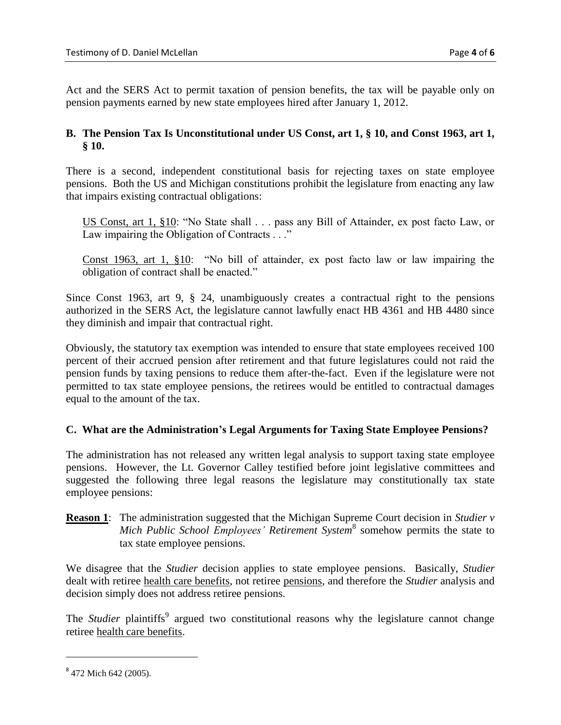Act and the SERS Act to permit taxation of pension benefits, the tax will be payable only on pension payments earned by new state employees hired after January 1, 2012.

## **B. The Pension Tax Is Unconstitutional under US Const, art 1, § 10, and Const 1963, art 1, § 10.**

There is a second, independent constitutional basis for rejecting taxes on state employee pensions. Both the US and Michigan constitutions prohibit the legislature from enacting any law that impairs existing contractual obligations:

US Const, art 1, §10: "No State shall . . . pass any Bill of Attainder, ex post facto Law, or Law impairing the Obligation of Contracts . . ."

Const 1963, art 1, §10: "No bill of attainder, ex post facto law or law impairing the obligation of contract shall be enacted."

Since Const 1963, art 9, § 24, unambiguously creates a contractual right to the pensions authorized in the SERS Act, the legislature cannot lawfully enact HB 4361 and HB 4480 since they diminish and impair that contractual right.

Obviously, the statutory tax exemption was intended to ensure that state employees received 100 percent of their accrued pension after retirement and that future legislatures could not raid the pension funds by taxing pensions to reduce them after-the-fact. Even if the legislature were not permitted to tax state employee pensions, the retirees would be entitled to contractual damages equal to the amount of the tax.

## **C. What are the Administration's Legal Arguments for Taxing State Employee Pensions?**

The administration has not released any written legal analysis to support taxing state employee pensions. However, the Lt. Governor Calley testified before joint legislative committees and suggested the following three legal reasons the legislature may constitutionally tax state employee pensions:

**Reason 1**: The administration suggested that the Michigan Supreme Court decision in *Studier v Mich Public School Employees' Retirement System*<sup>8</sup> somehow permits the state to tax state employee pensions.

We disagree that the *Studier* decision applies to state employee pensions. Basically, *Studier* dealt with retiree health care benefits, not retiree pensions, and therefore the *Studier* analysis and decision simply does not address retiree pensions.

The *Studier* plaintiffs<sup>9</sup> argued two constitutional reasons why the legislature cannot change retiree health care benefits.

<sup>&</sup>lt;sup>8</sup> 472 Mich 642 (2005).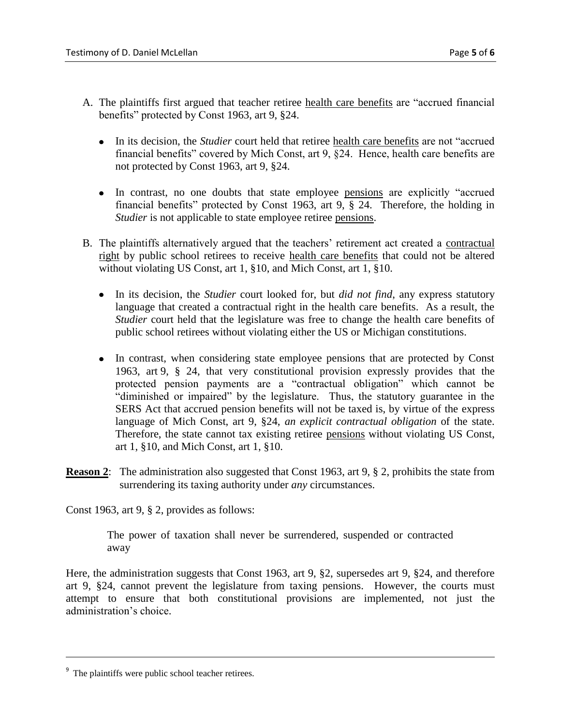- A. The plaintiffs first argued that teacher retiree health care benefits are "accrued financial benefits" protected by Const 1963, art 9, §24.
	- In its decision, the *Studier* court held that retiree health care benefits are not "accrued financial benefits" covered by Mich Const, art 9, §24. Hence, health care benefits are not protected by Const 1963, art 9, §24.
	- In contrast, no one doubts that state employee pensions are explicitly "accrued financial benefits" protected by Const 1963, art 9, § 24. Therefore, the holding in *Studier* is not applicable to state employee retiree pensions.
- B. The plaintiffs alternatively argued that the teachers' retirement act created a contractual right by public school retirees to receive health care benefits that could not be altered without violating US Const, art 1, §10, and Mich Const, art 1, §10.
	- In its decision, the *Studier* court looked for, but *did not find*, any express statutory language that created a contractual right in the health care benefits. As a result, the *Studier* court held that the legislature was free to change the health care benefits of public school retirees without violating either the US or Michigan constitutions.
	- In contrast, when considering state employee pensions that are protected by Const 1963, art 9, § 24, that very constitutional provision expressly provides that the protected pension payments are a "contractual obligation" which cannot be "diminished or impaired" by the legislature. Thus, the statutory guarantee in the SERS Act that accrued pension benefits will not be taxed is, by virtue of the express language of Mich Const, art 9, §24, *an explicit contractual obligation* of the state. Therefore, the state cannot tax existing retiree pensions without violating US Const, art 1, §10, and Mich Const, art 1, §10.
- **Reason 2:** The administration also suggested that Const 1963, art 9, § 2, prohibits the state from surrendering its taxing authority under *any* circumstances.

Const 1963, art 9, § 2, provides as follows:

The power of taxation shall never be surrendered, suspended or contracted away

Here, the administration suggests that Const 1963, art 9, §2, supersedes art 9, §24, and therefore art 9, §24, cannot prevent the legislature from taxing pensions. However, the courts must attempt to ensure that both constitutional provisions are implemented, not just the administration's choice.

<sup>&</sup>lt;sup>9</sup> The plaintiffs were public school teacher retirees.